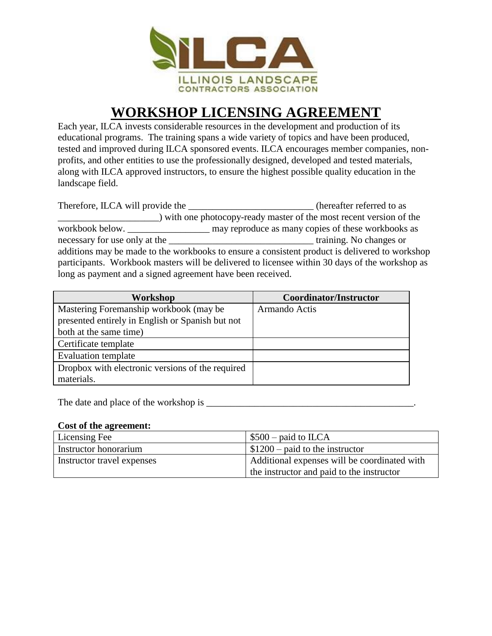

## **WORKSHOP LICENSING AGREEMENT**

Each year, ILCA invests considerable resources in the development and production of its educational programs. The training spans a wide variety of topics and have been produced, tested and improved during ILCA sponsored events. ILCA encourages member companies, nonprofits, and other entities to use the professionally designed, developed and tested materials, along with ILCA approved instructors, to ensure the highest possible quality education in the landscape field.

| Therefore, ILCA will provide the                                                               | (hereafter referred to as                                           |  |
|------------------------------------------------------------------------------------------------|---------------------------------------------------------------------|--|
|                                                                                                | ) with one photocopy-ready master of the most recent version of the |  |
| workbook below.                                                                                | may reproduce as many copies of these workbooks as                  |  |
| necessary for use only at the                                                                  | training. No changes or                                             |  |
| additions may be made to the workbooks to ensure a consistent product is delivered to workshop |                                                                     |  |
| participants. Workbook masters will be delivered to licensee within 30 days of the workshop as |                                                                     |  |
| long as payment and a signed agreement have been received.                                     |                                                                     |  |

| Workshop                                         | <b>Coordinator/Instructor</b> |
|--------------------------------------------------|-------------------------------|
| Mastering Foremanship workbook (may be           | Armando Actis                 |
| presented entirely in English or Spanish but not |                               |
| both at the same time)                           |                               |
| Certificate template                             |                               |
| <b>Evaluation template</b>                       |                               |
| Dropbox with electronic versions of the required |                               |
| materials.                                       |                               |

The date and place of the workshop is \_\_\_\_\_\_\_\_\_\_\_\_\_\_\_\_\_\_\_\_\_\_\_\_\_\_\_\_\_\_\_\_\_\_\_\_\_\_\_\_\_\_\_.

## **Cost of the agreement:**

| Licensing Fee              | $$500$ – paid to ILCA                        |
|----------------------------|----------------------------------------------|
| Instructor honorarium      | $$1200$ – paid to the instructor             |
| Instructor travel expenses | Additional expenses will be coordinated with |
|                            | the instructor and paid to the instructor    |